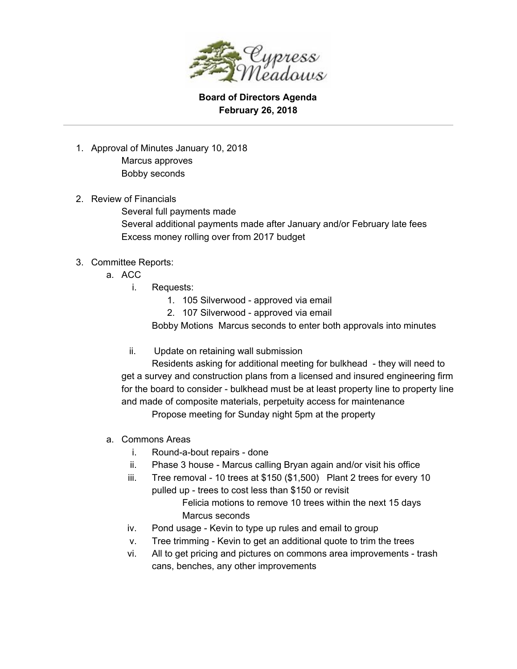

**Board of Directors Agenda February 26, 2018**

- 1. Approval of Minutes January 10, 2018 Marcus approves Bobby seconds
- 2. Review of Financials Several full payments made Several additional payments made after January and/or February late fees Excess money rolling over from 2017 budget

## 3. Committee Reports:

- a. ACC
	- i. Requests:
		- 1. 105 Silverwood approved via email
		- 2. 107 Silverwood approved via email

Bobby Motions Marcus seconds to enter both approvals into minutes

ii. Update on retaining wall submission

Residents asking for additional meeting for bulkhead - they will need to get a survey and construction plans from a licensed and insured engineering firm for the board to consider - bulkhead must be at least property line to property line and made of composite materials, perpetuity access for maintenance Propose meeting for Sunday night 5pm at the property

- a. Commons Areas
	- i. Round-a-bout repairs done
	- ii. Phase 3 house Marcus calling Bryan again and/or visit his office
	- iii. Tree removal 10 trees at \$150 (\$1,500) Plant 2 trees for every 10 pulled up - trees to cost less than \$150 or revisit Felicia motions to remove 10 trees within the next 15 days Marcus seconds
	- iv. Pond usage Kevin to type up rules and email to group
	- v. Tree trimming Kevin to get an additional quote to trim the trees
	- vi. All to get pricing and pictures on commons area improvements trash cans, benches, any other improvements